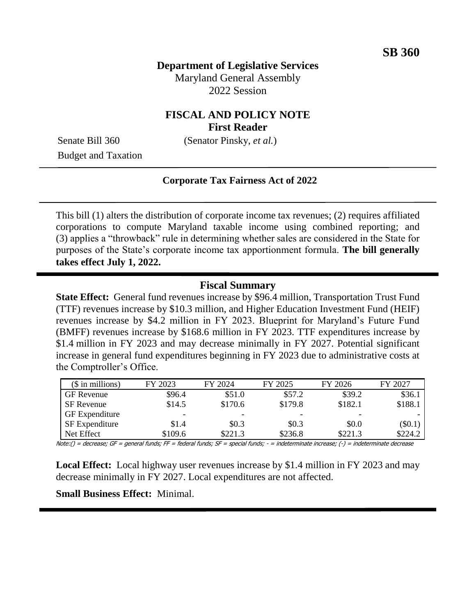# **Department of Legislative Services** Maryland General Assembly 2022 Session

## **FISCAL AND POLICY NOTE First Reader**

Budget and Taxation

Senate Bill 360 (Senator Pinsky, *et al.*)

### **Corporate Tax Fairness Act of 2022**

This bill (1) alters the distribution of corporate income tax revenues; (2) requires affiliated corporations to compute Maryland taxable income using combined reporting; and (3) applies a "throwback" rule in determining whether sales are considered in the State for purposes of the State's corporate income tax apportionment formula. **The bill generally takes effect July 1, 2022.**

### **Fiscal Summary**

**State Effect:** General fund revenues increase by \$96.4 million, Transportation Trust Fund (TTF) revenues increase by \$10.3 million, and Higher Education Investment Fund (HEIF) revenues increase by \$4.2 million in FY 2023. Blueprint for Maryland's Future Fund (BMFF) revenues increase by \$168.6 million in FY 2023. TTF expenditures increase by \$1.4 million in FY 2023 and may decrease minimally in FY 2027. Potential significant increase in general fund expenditures beginning in FY 2023 due to administrative costs at the Comptroller's Office.

| $($$ in millions)     | FY 2023 | FY 2024 | FY 2025 | FY 2026 | FY 2027   |
|-----------------------|---------|---------|---------|---------|-----------|
| <b>GF</b> Revenue     | \$96.4  | \$51.0  | \$57.2  | \$39.2  | \$36.1    |
| SF Revenue            | \$14.5  | \$170.6 | \$179.8 | \$182.1 | \$188.1   |
| <b>GF</b> Expenditure | -       | -       | -       | -       |           |
| <b>SF</b> Expenditure | \$1.4   | \$0.3\$ | \$0.3   | \$0.0   | $(\$0.1)$ |
| Net Effect            | \$109.6 | \$221.3 | \$236.8 | \$221.3 | \$224.2   |

Note:() = decrease; GF = general funds; FF = federal funds; SF = special funds; - = indeterminate increase; (-) = indeterminate decrease

**Local Effect:** Local highway user revenues increase by \$1.4 million in FY 2023 and may decrease minimally in FY 2027. Local expenditures are not affected.

### **Small Business Effect:** Minimal.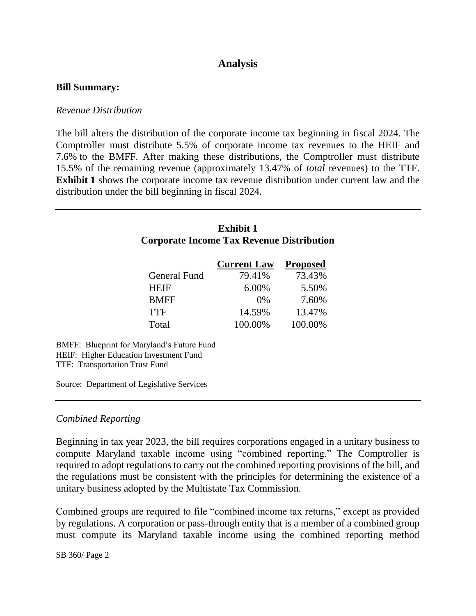# **Analysis**

#### **Bill Summary:**

#### *Revenue Distribution*

The bill alters the distribution of the corporate income tax beginning in fiscal 2024. The Comptroller must distribute 5.5% of corporate income tax revenues to the HEIF and 7.6% to the BMFF. After making these distributions, the Comptroller must distribute 15.5% of the remaining revenue (approximately 13.47% of *total* revenues) to the TTF. **Exhibit 1** shows the corporate income tax revenue distribution under current law and the distribution under the bill beginning in fiscal 2024.

|                                                                                                                        | <b>Exhibit 1</b><br><b>Corporate Income Tax Revenue Distribution</b> |                 |  |  |  |
|------------------------------------------------------------------------------------------------------------------------|----------------------------------------------------------------------|-----------------|--|--|--|
|                                                                                                                        | <b>Current Law</b>                                                   | <b>Proposed</b> |  |  |  |
| <b>General Fund</b>                                                                                                    | 79.41%                                                               | 73.43%          |  |  |  |
| HEIF                                                                                                                   | 6.00%                                                                | 5.50%           |  |  |  |
| <b>BMFF</b>                                                                                                            | 0%                                                                   | 7.60%           |  |  |  |
| <b>TTF</b>                                                                                                             | 14.59%                                                               | 13.47%          |  |  |  |
| Total                                                                                                                  | 100.00%                                                              | 100.00%         |  |  |  |
| BMFF: Blueprint for Maryland's Future Fund<br>HEIF: Higher Education Investment Fund<br>TTF: Transportation Trust Fund |                                                                      |                 |  |  |  |
| Source: Department of Legislative Services                                                                             |                                                                      |                 |  |  |  |

### *Combined Reporting*

Beginning in tax year 2023, the bill requires corporations engaged in a unitary business to compute Maryland taxable income using "combined reporting." The Comptroller is required to adopt regulations to carry out the combined reporting provisions of the bill, and the regulations must be consistent with the principles for determining the existence of a unitary business adopted by the Multistate Tax Commission.

Combined groups are required to file "combined income tax returns," except as provided by regulations. A corporation or pass-through entity that is a member of a combined group must compute its Maryland taxable income using the combined reporting method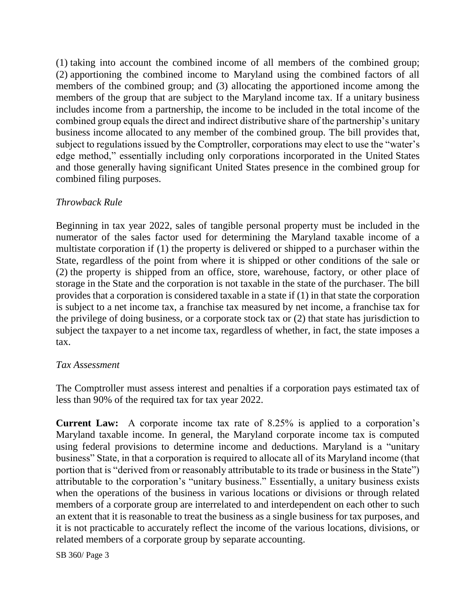(1) taking into account the combined income of all members of the combined group; (2) apportioning the combined income to Maryland using the combined factors of all members of the combined group; and (3) allocating the apportioned income among the members of the group that are subject to the Maryland income tax. If a unitary business includes income from a partnership, the income to be included in the total income of the combined group equals the direct and indirect distributive share of the partnership's unitary business income allocated to any member of the combined group. The bill provides that, subject to regulations issued by the Comptroller, corporations may elect to use the "water's edge method," essentially including only corporations incorporated in the United States and those generally having significant United States presence in the combined group for combined filing purposes.

## *Throwback Rule*

Beginning in tax year 2022, sales of tangible personal property must be included in the numerator of the sales factor used for determining the Maryland taxable income of a multistate corporation if (1) the property is delivered or shipped to a purchaser within the State, regardless of the point from where it is shipped or other conditions of the sale or (2) the property is shipped from an office, store, warehouse, factory, or other place of storage in the State and the corporation is not taxable in the state of the purchaser. The bill provides that a corporation is considered taxable in a state if (1) in that state the corporation is subject to a net income tax, a franchise tax measured by net income, a franchise tax for the privilege of doing business, or a corporate stock tax or (2) that state has jurisdiction to subject the taxpayer to a net income tax, regardless of whether, in fact, the state imposes a tax.

## *Tax Assessment*

The Comptroller must assess interest and penalties if a corporation pays estimated tax of less than 90% of the required tax for tax year 2022.

**Current Law:** A corporate income tax rate of 8.25% is applied to a corporation's Maryland taxable income. In general, the Maryland corporate income tax is computed using federal provisions to determine income and deductions. Maryland is a "unitary business" State, in that a corporation is required to allocate all of its Maryland income (that portion that is "derived from or reasonably attributable to its trade or business in the State") attributable to the corporation's "unitary business." Essentially, a unitary business exists when the operations of the business in various locations or divisions or through related members of a corporate group are interrelated to and interdependent on each other to such an extent that it is reasonable to treat the business as a single business for tax purposes, and it is not practicable to accurately reflect the income of the various locations, divisions, or related members of a corporate group by separate accounting.

SB 360/ Page 3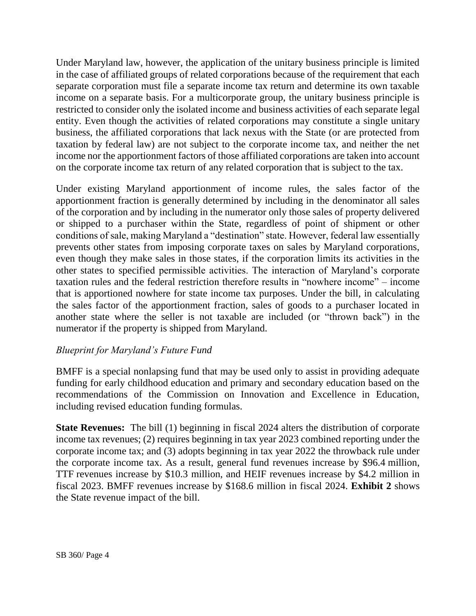Under Maryland law, however, the application of the unitary business principle is limited in the case of affiliated groups of related corporations because of the requirement that each separate corporation must file a separate income tax return and determine its own taxable income on a separate basis. For a multicorporate group, the unitary business principle is restricted to consider only the isolated income and business activities of each separate legal entity. Even though the activities of related corporations may constitute a single unitary business, the affiliated corporations that lack nexus with the State (or are protected from taxation by federal law) are not subject to the corporate income tax, and neither the net income nor the apportionment factors of those affiliated corporations are taken into account on the corporate income tax return of any related corporation that is subject to the tax.

Under existing Maryland apportionment of income rules, the sales factor of the apportionment fraction is generally determined by including in the denominator all sales of the corporation and by including in the numerator only those sales of property delivered or shipped to a purchaser within the State, regardless of point of shipment or other conditions of sale, making Maryland a "destination" state. However, federal law essentially prevents other states from imposing corporate taxes on sales by Maryland corporations, even though they make sales in those states, if the corporation limits its activities in the other states to specified permissible activities. The interaction of Maryland's corporate taxation rules and the federal restriction therefore results in "nowhere income" – income that is apportioned nowhere for state income tax purposes. Under the bill, in calculating the sales factor of the apportionment fraction, sales of goods to a purchaser located in another state where the seller is not taxable are included (or "thrown back") in the numerator if the property is shipped from Maryland.

## *Blueprint for Maryland's Future Fund*

BMFF is a special nonlapsing fund that may be used only to assist in providing adequate funding for early childhood education and primary and secondary education based on the recommendations of the Commission on Innovation and Excellence in Education, including revised education funding formulas.

**State Revenues:** The bill (1) beginning in fiscal 2024 alters the distribution of corporate income tax revenues; (2) requires beginning in tax year 2023 combined reporting under the corporate income tax; and (3) adopts beginning in tax year 2022 the throwback rule under the corporate income tax. As a result, general fund revenues increase by \$96.4 million, TTF revenues increase by \$10.3 million, and HEIF revenues increase by \$4.2 million in fiscal 2023. BMFF revenues increase by \$168.6 million in fiscal 2024. **Exhibit 2** shows the State revenue impact of the bill.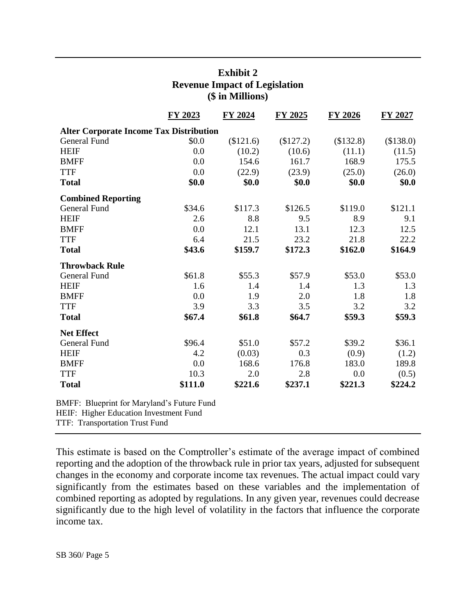|                                                | FY 2023 | FY 2024   | <b>FY 2025</b> | <b>FY 2026</b> | <b>FY 2027</b> |
|------------------------------------------------|---------|-----------|----------------|----------------|----------------|
| <b>Alter Corporate Income Tax Distribution</b> |         |           |                |                |                |
| General Fund                                   | \$0.0   | (\$121.6) | (\$127.2)      | (\$132.8)      | (\$138.0)      |
| <b>HEIF</b>                                    | 0.0     | (10.2)    | (10.6)         | (11.1)         | (11.5)         |
| <b>BMFF</b>                                    | 0.0     | 154.6     | 161.7          | 168.9          | 175.5          |
| <b>TTF</b>                                     | 0.0     | (22.9)    | (23.9)         | (25.0)         | (26.0)         |
| <b>Total</b>                                   | \$0.0   | \$0.0     | \$0.0          | \$0.0          | \$0.0          |
| <b>Combined Reporting</b>                      |         |           |                |                |                |
| <b>General Fund</b>                            | \$34.6  | \$117.3   | \$126.5        | \$119.0        | \$121.1        |
| <b>HEIF</b>                                    | 2.6     | 8.8       | 9.5            | 8.9            | 9.1            |
| <b>BMFF</b>                                    | 0.0     | 12.1      | 13.1           | 12.3           | 12.5           |
| <b>TTF</b>                                     | 6.4     | 21.5      | 23.2           | 21.8           | 22.2           |
| <b>Total</b>                                   | \$43.6  | \$159.7   | \$172.3        | \$162.0        | \$164.9        |
| <b>Throwback Rule</b>                          |         |           |                |                |                |
| <b>General Fund</b>                            | \$61.8  | \$55.3    | \$57.9         | \$53.0         | \$53.0         |
| <b>HEIF</b>                                    | 1.6     | 1.4       | 1.4            | 1.3            | 1.3            |
| <b>BMFF</b>                                    | 0.0     | 1.9       | 2.0            | 1.8            | 1.8            |
| <b>TTF</b>                                     | 3.9     | 3.3       | 3.5            | 3.2            | 3.2            |
| <b>Total</b>                                   | \$67.4  | \$61.8    | \$64.7         | \$59.3         | \$59.3         |
| <b>Net Effect</b>                              |         |           |                |                |                |
| <b>General Fund</b>                            | \$96.4  | \$51.0    | \$57.2         | \$39.2         | \$36.1         |
| <b>HEIF</b>                                    | 4.2     | (0.03)    | 0.3            | (0.9)          | (1.2)          |
| <b>BMFF</b>                                    | 0.0     | 168.6     | 176.8          | 183.0          | 189.8          |
| <b>TTF</b>                                     | 10.3    | 2.0       | 2.8            | 0.0            | (0.5)          |
| <b>Total</b>                                   | \$111.0 | \$221.6   | \$237.1        | \$221.3        | \$224.2        |

# **Exhibit 2 Revenue Impact of Legislation (\$ in Millions)**

BMFF: Blueprint for Maryland's Future Fund HEIF: Higher Education Investment Fund

TTF: Transportation Trust Fund

This estimate is based on the Comptroller's estimate of the average impact of combined reporting and the adoption of the throwback rule in prior tax years, adjusted for subsequent changes in the economy and corporate income tax revenues. The actual impact could vary significantly from the estimates based on these variables and the implementation of combined reporting as adopted by regulations. In any given year, revenues could decrease significantly due to the high level of volatility in the factors that influence the corporate income tax.